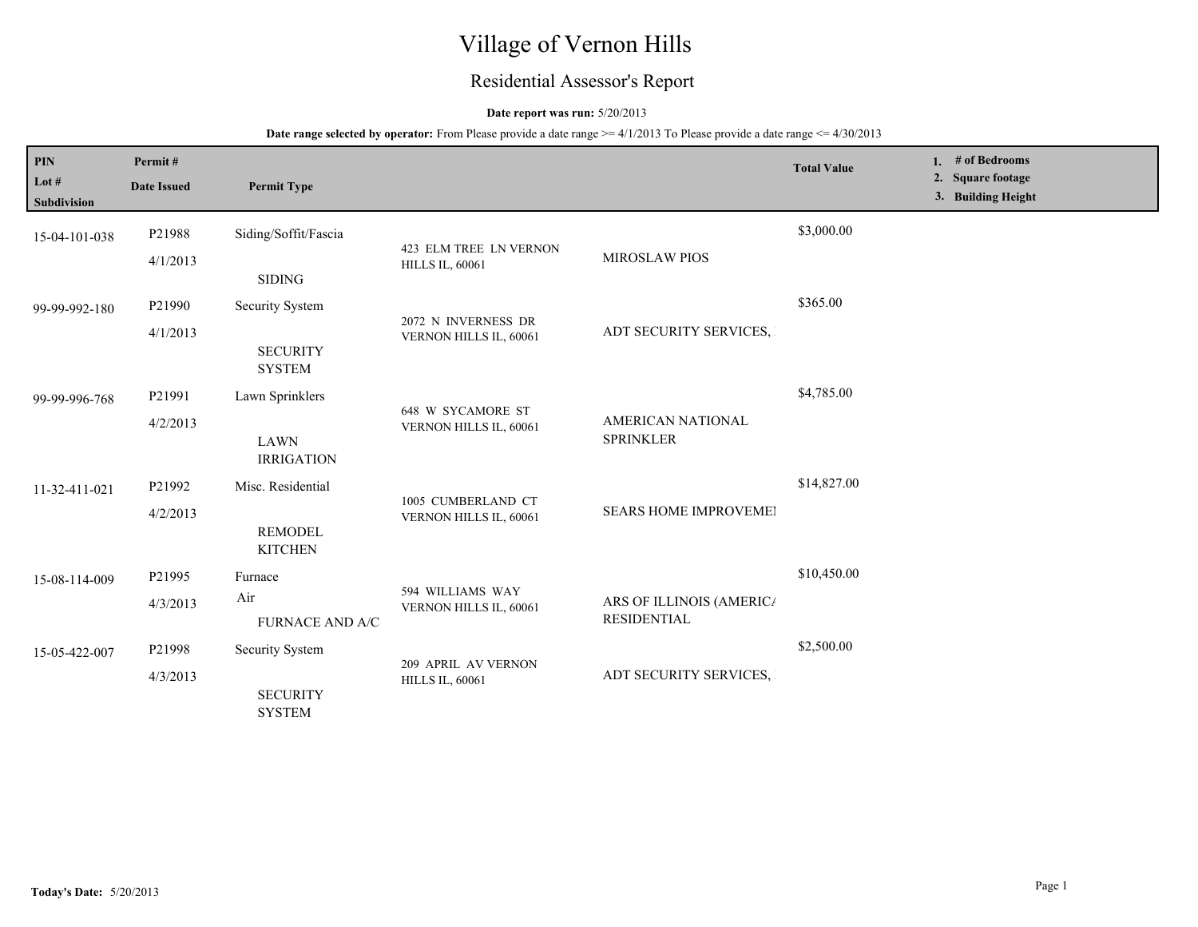# Village of Vernon Hills

## Residential Assessor's Report

## **Date report was run:** 5/20/2013

| <b>PIN</b>                    | Permit#                   |                                  |                                                    |                                                | <b>Total Value</b> | 1. $#$ of Bedrooms                      |
|-------------------------------|---------------------------|----------------------------------|----------------------------------------------------|------------------------------------------------|--------------------|-----------------------------------------|
| Lot $#$<br><b>Subdivision</b> | <b>Date Issued</b>        | <b>Permit Type</b>               |                                                    |                                                |                    | 2. Square footage<br>3. Building Height |
| 15-04-101-038                 | P21988                    | Siding/Soffit/Fascia             |                                                    |                                                | \$3,000.00         |                                         |
|                               | 4/1/2013                  | <b>SIDING</b>                    | 423 ELM TREE LN VERNON<br><b>HILLS IL, 60061</b>   | <b>MIROSLAW PIOS</b>                           |                    |                                         |
| 99-99-992-180                 | P21990                    | Security System                  | 2072 N INVERNESS DR                                |                                                | \$365.00           |                                         |
|                               | 4/1/2013                  | <b>SECURITY</b><br><b>SYSTEM</b> | VERNON HILLS IL, 60061                             | ADT SECURITY SERVICES,                         |                    |                                         |
| 99-99-996-768                 | P21991                    | Lawn Sprinklers                  |                                                    |                                                | \$4,785.00         |                                         |
|                               | 4/2/2013                  | <b>LAWN</b><br><b>IRRIGATION</b> | <b>648 W SYCAMORE ST</b><br>VERNON HILLS IL, 60061 | <b>AMERICAN NATIONAL</b><br><b>SPRINKLER</b>   |                    |                                         |
| 11-32-411-021                 | P21992                    | Misc. Residential                |                                                    | <b>SEARS HOME IMPROVEMEI</b>                   | \$14,827.00        |                                         |
|                               | 4/2/2013                  | <b>REMODEL</b><br><b>KITCHEN</b> | 1005 CUMBERLAND CT<br>VERNON HILLS IL, 60061       |                                                |                    |                                         |
| 15-08-114-009                 | P <sub>21995</sub>        | Furnace                          |                                                    |                                                | \$10,450.00        |                                         |
|                               | 4/3/2013                  | Air<br>FURNACE AND A/C           | 594 WILLIAMS WAY<br>VERNON HILLS IL, 60061         | ARS OF ILLINOIS (AMERICA<br><b>RESIDENTIAL</b> |                    |                                         |
| 15-05-422-007                 | P21998                    | Security System                  |                                                    |                                                | \$2,500.00         |                                         |
|                               | 4/3/2013<br><b>SYSTEM</b> | <b>SECURITY</b>                  | 209 APRIL AV VERNON<br><b>HILLS IL, 60061</b>      | ADT SECURITY SERVICES,                         |                    |                                         |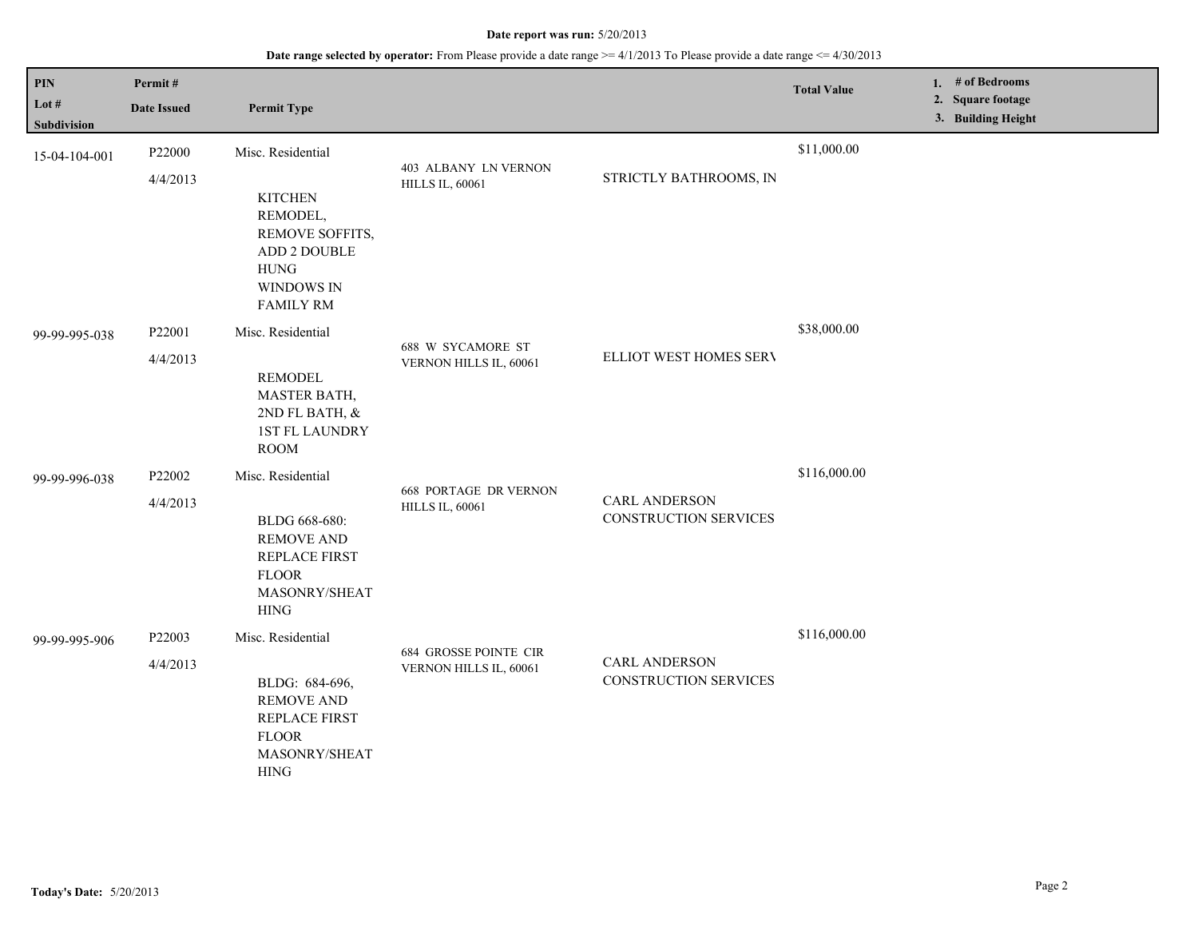| PIN                  | Permit#            |                                                                                                                |                                                        |                                                      | <b>Total Value</b> | 1. $#$ of Bedrooms<br>2. Square footage |
|----------------------|--------------------|----------------------------------------------------------------------------------------------------------------|--------------------------------------------------------|------------------------------------------------------|--------------------|-----------------------------------------|
| Lot #<br>Subdivision | <b>Date Issued</b> | <b>Permit Type</b>                                                                                             |                                                        |                                                      |                    | 3. Building Height                      |
| 15-04-104-001        | P22000             | Misc. Residential                                                                                              |                                                        |                                                      | \$11,000.00        |                                         |
|                      | 4/4/2013           | <b>KITCHEN</b><br>REMODEL,<br>REMOVE SOFFITS,<br>ADD 2 DOUBLE<br><b>HUNG</b><br>WINDOWS IN<br><b>FAMILY RM</b> | 403 ALBANY LN VERNON<br><b>HILLS IL, 60061</b>         | STRICTLY BATHROOMS, IN                               |                    |                                         |
| 99-99-995-038        | P22001             | Misc. Residential                                                                                              | 688 W SYCAMORE ST                                      |                                                      | \$38,000.00        |                                         |
|                      | 4/4/2013           | <b>REMODEL</b><br>MASTER BATH,<br>2ND FL BATH, &<br>1ST FL LAUNDRY<br><b>ROOM</b>                              | VERNON HILLS IL, 60061                                 | ELLIOT WEST HOMES SERV                               |                    |                                         |
| 99-99-996-038        | P22002             | Misc. Residential                                                                                              | <b>668 PORTAGE DR VERNON</b>                           |                                                      | \$116,000.00       |                                         |
|                      | 4/4/2013           | BLDG 668-680:<br><b>REMOVE AND</b><br>REPLACE FIRST<br><b>FLOOR</b><br>MASONRY/SHEAT<br>${\rm HING}$           | <b>HILLS IL, 60061</b>                                 | <b>CARL ANDERSON</b><br>CONSTRUCTION SERVICES        |                    |                                         |
| 99-99-995-906        | P22003             | Misc. Residential                                                                                              |                                                        |                                                      | \$116,000.00       |                                         |
|                      | 4/4/2013           | BLDG: 684-696,<br><b>REMOVE AND</b><br>REPLACE FIRST<br><b>FLOOR</b><br>MASONRY/SHEAT<br><b>HING</b>           | <b>684 GROSSE POINTE CIR</b><br>VERNON HILLS IL, 60061 | <b>CARL ANDERSON</b><br><b>CONSTRUCTION SERVICES</b> |                    |                                         |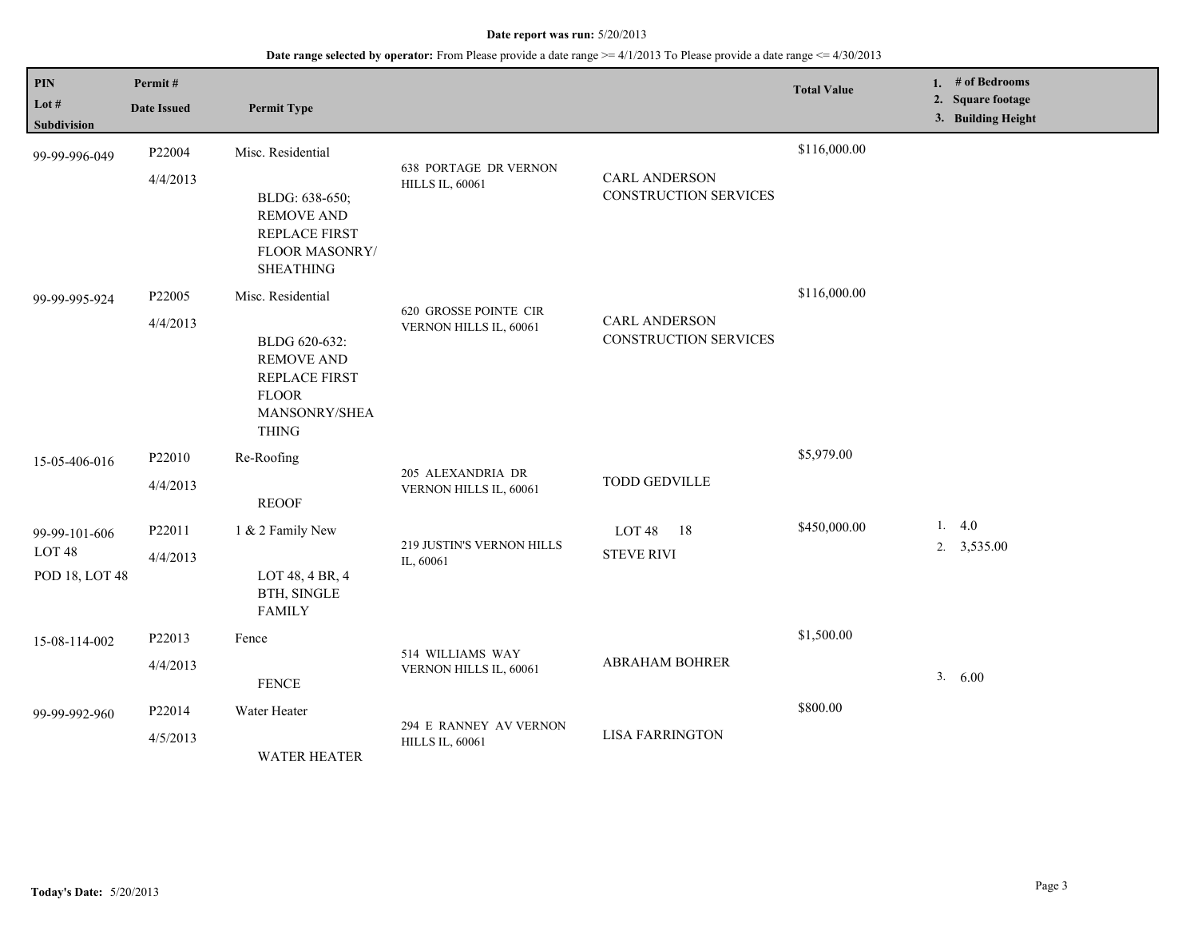| $\mathbf{PIN}$<br>Lot #<br>Subdivision               | Permit#<br><b>Date Issued</b> | <b>Permit Type</b>                                                                                                               |                                                        |                                                      | <b>Total Value</b> | 1. # of Bedrooms<br>2. Square footage<br>3. Building Height |
|------------------------------------------------------|-------------------------------|----------------------------------------------------------------------------------------------------------------------------------|--------------------------------------------------------|------------------------------------------------------|--------------------|-------------------------------------------------------------|
| 99-99-996-049                                        | P22004<br>4/4/2013            | Misc. Residential<br>BLDG: 638-650;<br><b>REMOVE AND</b><br><b>REPLACE FIRST</b><br>FLOOR MASONRY/<br><b>SHEATHING</b>           | <b>638 PORTAGE DR VERNON</b><br><b>HILLS IL, 60061</b> | <b>CARL ANDERSON</b><br><b>CONSTRUCTION SERVICES</b> | \$116,000.00       |                                                             |
| 99-99-995-924                                        | P22005<br>4/4/2013            | Misc. Residential<br>BLDG 620-632:<br><b>REMOVE AND</b><br><b>REPLACE FIRST</b><br><b>FLOOR</b><br>MANSONRY/SHEA<br><b>THING</b> | 620 GROSSE POINTE CIR<br>VERNON HILLS IL, 60061        | <b>CARL ANDERSON</b><br><b>CONSTRUCTION SERVICES</b> | \$116,000.00       |                                                             |
| 15-05-406-016                                        | P22010<br>4/4/2013            | Re-Roofing<br><b>REOOF</b>                                                                                                       | 205 ALEXANDRIA DR<br>VERNON HILLS IL, 60061            | <b>TODD GEDVILLE</b>                                 | \$5,979.00         |                                                             |
| 99-99-101-606<br>LOT <sub>48</sub><br>POD 18, LOT 48 | P22011<br>4/4/2013            | 1 & 2 Family New<br>LOT 48, 4 BR, 4<br>BTH, SINGLE<br><b>FAMILY</b>                                                              | 219 JUSTIN'S VERNON HILLS<br>IL, 60061                 | LOT <sub>48</sub><br>18<br><b>STEVE RIVI</b>         | \$450,000.00       | 1.4.0<br>$2. \quad 3,535.00$                                |
| 15-08-114-002                                        | P22013<br>4/4/2013            | Fence<br><b>FENCE</b>                                                                                                            | 514 WILLIAMS WAY<br>VERNON HILLS IL, 60061             | ABRAHAM BOHRER                                       | \$1,500.00         | 3. 6.00                                                     |
| 99-99-992-960                                        | P22014<br>4/5/2013            | Water Heater<br><b>WATER HEATER</b>                                                                                              | 294 E RANNEY AV VERNON<br><b>HILLS IL, 60061</b>       | <b>LISA FARRINGTON</b>                               | \$800.00           |                                                             |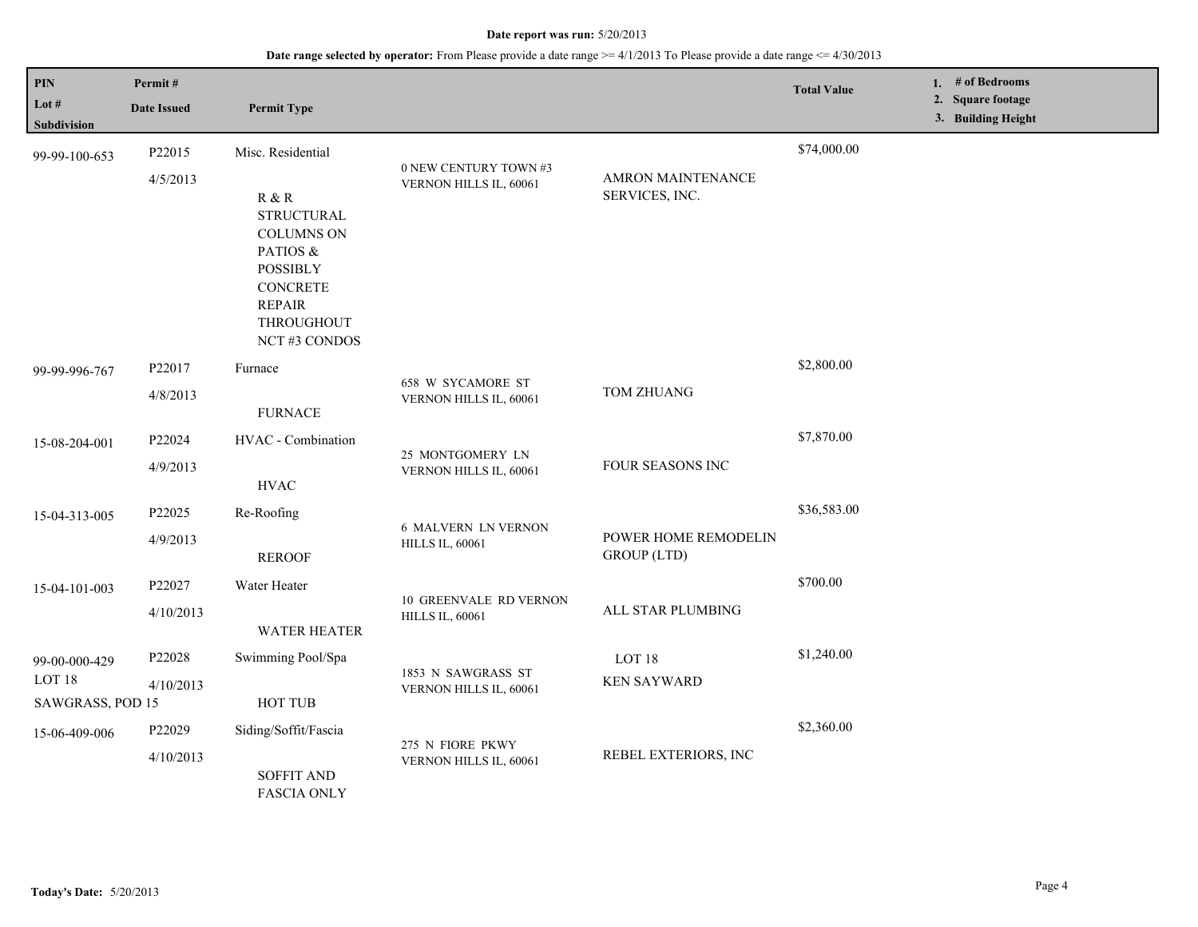| PIN<br>Lot #<br><b>Subdivision</b>                 | Permit#<br><b>Date Issued</b>  | <b>Permit Type</b>                                                                                                                        |                                                         |                                            | <b>Total Value</b> | 1. # of Bedrooms<br>2. Square footage<br>3. Building Height |
|----------------------------------------------------|--------------------------------|-------------------------------------------------------------------------------------------------------------------------------------------|---------------------------------------------------------|--------------------------------------------|--------------------|-------------------------------------------------------------|
| 99-99-100-653                                      | P22015                         | Misc. Residential                                                                                                                         |                                                         |                                            | \$74,000.00        |                                                             |
|                                                    | 4/5/2013                       | R & R<br><b>STRUCTURAL</b><br><b>COLUMNS ON</b><br>PATIOS &<br><b>POSSIBLY</b><br>CONCRETE<br><b>REPAIR</b><br>THROUGHOUT<br>NCT#3 CONDOS | 0 NEW CENTURY TOWN #3<br>VERNON HILLS IL, 60061         | AMRON MAINTENANCE<br>SERVICES, INC.        |                    |                                                             |
| 99-99-996-767                                      | P22017<br>4/8/2013             | Furnace                                                                                                                                   | 658 W SYCAMORE ST<br>VERNON HILLS IL, 60061             | TOM ZHUANG                                 | \$2,800.00         |                                                             |
|                                                    |                                | <b>FURNACE</b>                                                                                                                            |                                                         |                                            |                    |                                                             |
| 15-08-204-001                                      | P22024                         | HVAC - Combination                                                                                                                        | 25 MONTGOMERY LN<br>VERNON HILLS IL, 60061              | FOUR SEASONS INC                           | \$7,870.00         |                                                             |
|                                                    | 4/9/2013                       | <b>HVAC</b>                                                                                                                               |                                                         |                                            |                    |                                                             |
| 15-04-313-005                                      | P22025                         | Re-Roofing                                                                                                                                | <b>6 MALVERN LN VERNON</b><br><b>HILLS IL, 60061</b>    | POWER HOME REMODELIN<br><b>GROUP</b> (LTD) | \$36,583.00        |                                                             |
|                                                    | 4/9/2013                       | <b>REROOF</b>                                                                                                                             |                                                         |                                            |                    |                                                             |
| 15-04-101-003                                      | P22027                         | Water Heater                                                                                                                              |                                                         |                                            | \$700.00           |                                                             |
|                                                    | 4/10/2013                      | <b>WATER HEATER</b>                                                                                                                       | <b>10 GREENVALE RD VERNON</b><br><b>HILLS IL, 60061</b> | ALL STAR PLUMBING                          |                    |                                                             |
| 99-00-000-429                                      | P22028                         | Swimming Pool/Spa                                                                                                                         |                                                         | LOT <sub>18</sub>                          | \$1,240.00         |                                                             |
| LOT <sub>18</sub><br>4/10/2013<br>SAWGRASS, POD 15 |                                | HOT TUB                                                                                                                                   | 1853 N SAWGRASS ST<br>VERNON HILLS IL, 60061            | <b>KEN SAYWARD</b>                         |                    |                                                             |
| 15-06-409-006                                      | P22029                         | Siding/Soffit/Fascia                                                                                                                      |                                                         |                                            | \$2,360.00         |                                                             |
|                                                    | 4/10/2013<br><b>SOFFIT AND</b> | <b>FASCIA ONLY</b>                                                                                                                        | 275 N FIORE PKWY<br>VERNON HILLS IL, 60061              | REBEL EXTERIORS, INC                       |                    |                                                             |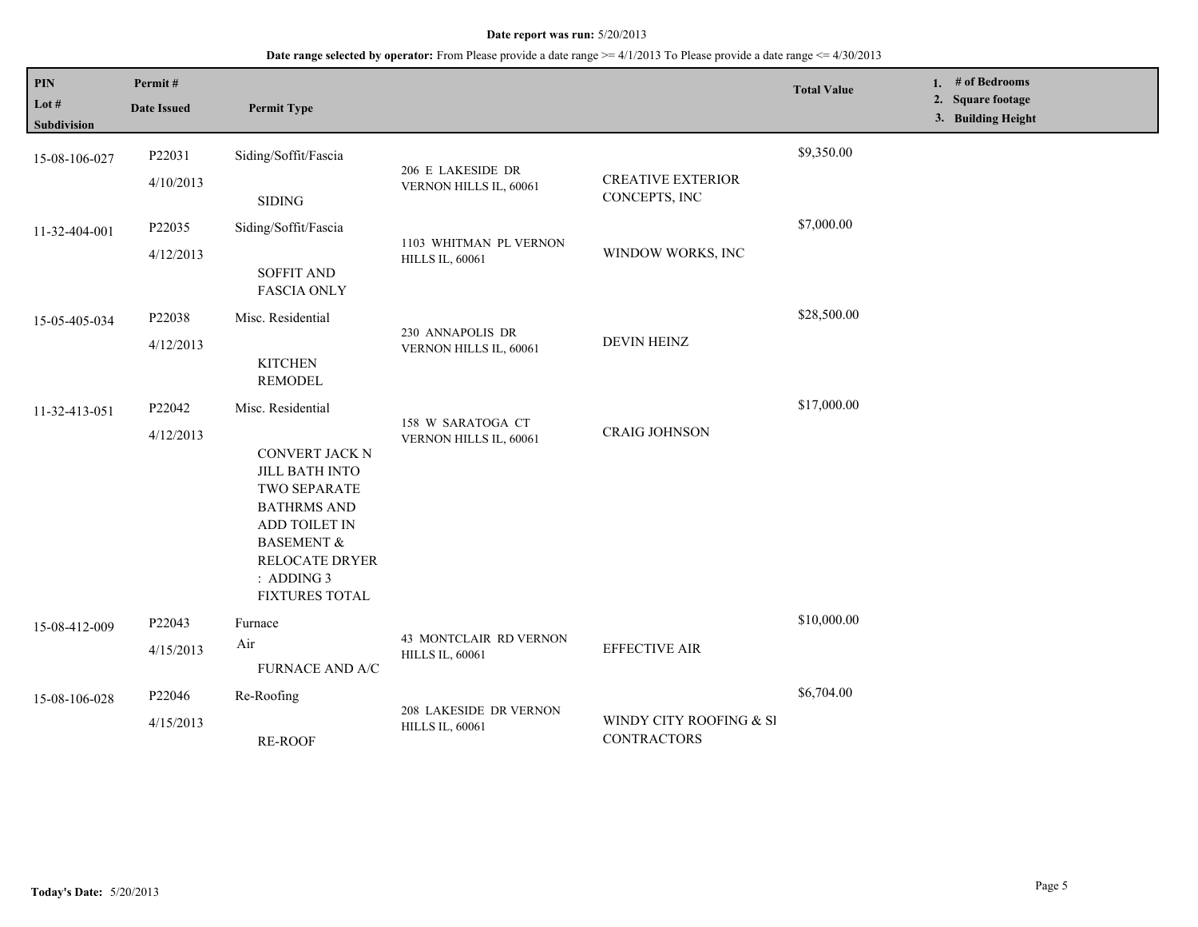| PIN<br>Lot $#$<br>Subdivision | Permit#<br><b>Date Issued</b> | <b>Permit Type</b>                                                                                                                                                                                             |                                                  |                                               | <b>Total Value</b> | 1. # of Bedrooms<br>2. Square footage<br>3. Building Height |
|-------------------------------|-------------------------------|----------------------------------------------------------------------------------------------------------------------------------------------------------------------------------------------------------------|--------------------------------------------------|-----------------------------------------------|--------------------|-------------------------------------------------------------|
| 15-08-106-027                 | P22031<br>4/10/2013           | Siding/Soffit/Fascia<br><b>SIDING</b>                                                                                                                                                                          | 206 E LAKESIDE DR<br>VERNON HILLS IL, 60061      | <b>CREATIVE EXTERIOR</b><br>CONCEPTS, INC     | \$9,350.00         |                                                             |
| 11-32-404-001                 | P22035<br>4/12/2013           | Siding/Soffit/Fascia<br><b>SOFFIT AND</b><br><b>FASCIA ONLY</b>                                                                                                                                                | 1103 WHITMAN PL VERNON<br><b>HILLS IL, 60061</b> | WINDOW WORKS, INC                             | \$7,000.00         |                                                             |
| 15-05-405-034                 | P22038<br>4/12/2013           | Misc. Residential<br><b>KITCHEN</b><br><b>REMODEL</b>                                                                                                                                                          | 230 ANNAPOLIS DR<br>VERNON HILLS IL, 60061       | <b>DEVIN HEINZ</b>                            | \$28,500.00        |                                                             |
| 11-32-413-051                 | P22042<br>4/12/2013           | Misc. Residential<br>CONVERT JACK N<br><b>JILL BATH INTO</b><br><b>TWO SEPARATE</b><br><b>BATHRMS AND</b><br>ADD TOILET IN<br><b>BASEMENT &amp;</b><br><b>RELOCATE DRYER</b><br>$:$ ADDING 3<br>FIXTURES TOTAL | 158 W SARATOGA CT<br>VERNON HILLS IL, 60061      | <b>CRAIG JOHNSON</b>                          | \$17,000.00        |                                                             |
| 15-08-412-009                 | P22043<br>4/15/2013           | Furnace<br>Air<br>FURNACE AND A/C                                                                                                                                                                              | 43 MONTCLAIR RD VERNON<br><b>HILLS IL, 60061</b> | <b>EFFECTIVE AIR</b>                          | \$10,000.00        |                                                             |
| 15-08-106-028                 | P22046<br>4/15/2013           | Re-Roofing<br><b>RE-ROOF</b>                                                                                                                                                                                   | 208 LAKESIDE DR VERNON<br><b>HILLS IL, 60061</b> | WINDY CITY ROOFING & SI<br><b>CONTRACTORS</b> | \$6,704.00         |                                                             |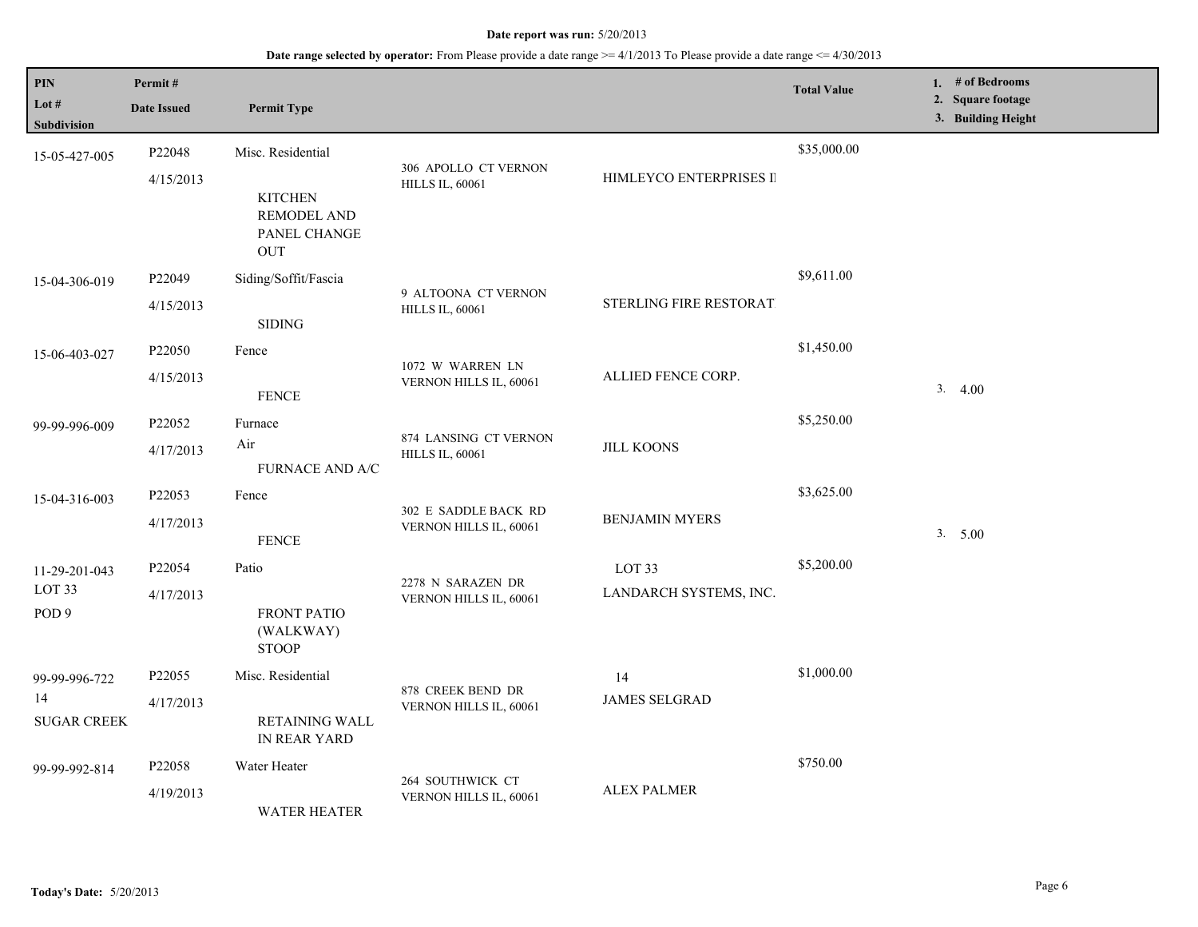| PIN<br>Lot #                          | Permit#<br><b>Date Issued</b> | <b>Permit Type</b>                                          |                                                 |                         | <b>Total Value</b> | 1. $#$ of Bedrooms<br>2. Square footage |
|---------------------------------------|-------------------------------|-------------------------------------------------------------|-------------------------------------------------|-------------------------|--------------------|-----------------------------------------|
| <b>Subdivision</b>                    |                               |                                                             |                                                 |                         |                    | 3. Building Height                      |
| 15-05-427-005                         | P22048                        | Misc. Residential                                           |                                                 |                         | \$35,000.00        |                                         |
|                                       | 4/15/2013                     | <b>KITCHEN</b><br><b>REMODEL AND</b><br>PANEL CHANGE<br>OUT | 306 APOLLO CT VERNON<br><b>HILLS IL, 60061</b>  | HIMLEYCO ENTERPRISES II |                    |                                         |
| 15-04-306-019                         | P22049                        | Siding/Soffit/Fascia                                        | 9 ALTOONA CT VERNON                             |                         | \$9,611.00         |                                         |
|                                       | 4/15/2013                     | <b>SIDING</b>                                               | <b>HILLS IL, 60061</b>                          | STERLING FIRE RESTORAT. |                    |                                         |
| 15-06-403-027                         | P22050                        | Fence                                                       |                                                 |                         | \$1,450.00         |                                         |
|                                       | 4/15/2013                     | <b>FENCE</b>                                                | 1072 W WARREN LN<br>VERNON HILLS IL, 60061      | ALLIED FENCE CORP.      |                    | 3.4.00                                  |
| 99-99-996-009                         | P22052                        | Furnace                                                     |                                                 |                         | \$5,250.00         |                                         |
|                                       | 4/17/2013                     | Air<br><b>FURNACE AND A/C</b>                               | 874 LANSING CT VERNON<br><b>HILLS IL, 60061</b> | <b>JILL KOONS</b>       |                    |                                         |
| 15-04-316-003                         | P22053                        | Fence                                                       |                                                 |                         | \$3,625.00         |                                         |
|                                       | 4/17/2013                     | <b>FENCE</b>                                                | 302 E SADDLE BACK RD<br>VERNON HILLS IL, 60061  | <b>BENJAMIN MYERS</b>   |                    | 3. 5.00                                 |
| 11-29-201-043                         | P22054                        | Patio                                                       |                                                 | LOT <sub>33</sub>       | \$5,200.00         |                                         |
| LOT <sub>33</sub><br>POD <sub>9</sub> | 4/17/2013                     | <b>FRONT PATIO</b><br>(WALKWAY)<br><b>STOOP</b>             | 2278 N SARAZEN DR<br>VERNON HILLS IL, 60061     | LANDARCH SYSTEMS, INC.  |                    |                                         |
| 99-99-996-722                         | P22055                        | Misc. Residential                                           | 878 CREEK BEND DR                               | 14                      | \$1,000.00         |                                         |
| 14<br><b>SUGAR CREEK</b>              | 4/17/2013                     | RETAINING WALL<br>IN REAR YARD                              | VERNON HILLS IL, 60061                          | <b>JAMES SELGRAD</b>    |                    |                                         |
| 99-99-992-814                         | P22058                        | Water Heater                                                |                                                 |                         | \$750.00           |                                         |
|                                       | 4/19/2013                     | <b>WATER HEATER</b>                                         | 264 SOUTHWICK CT<br>VERNON HILLS IL, 60061      | <b>ALEX PALMER</b>      |                    |                                         |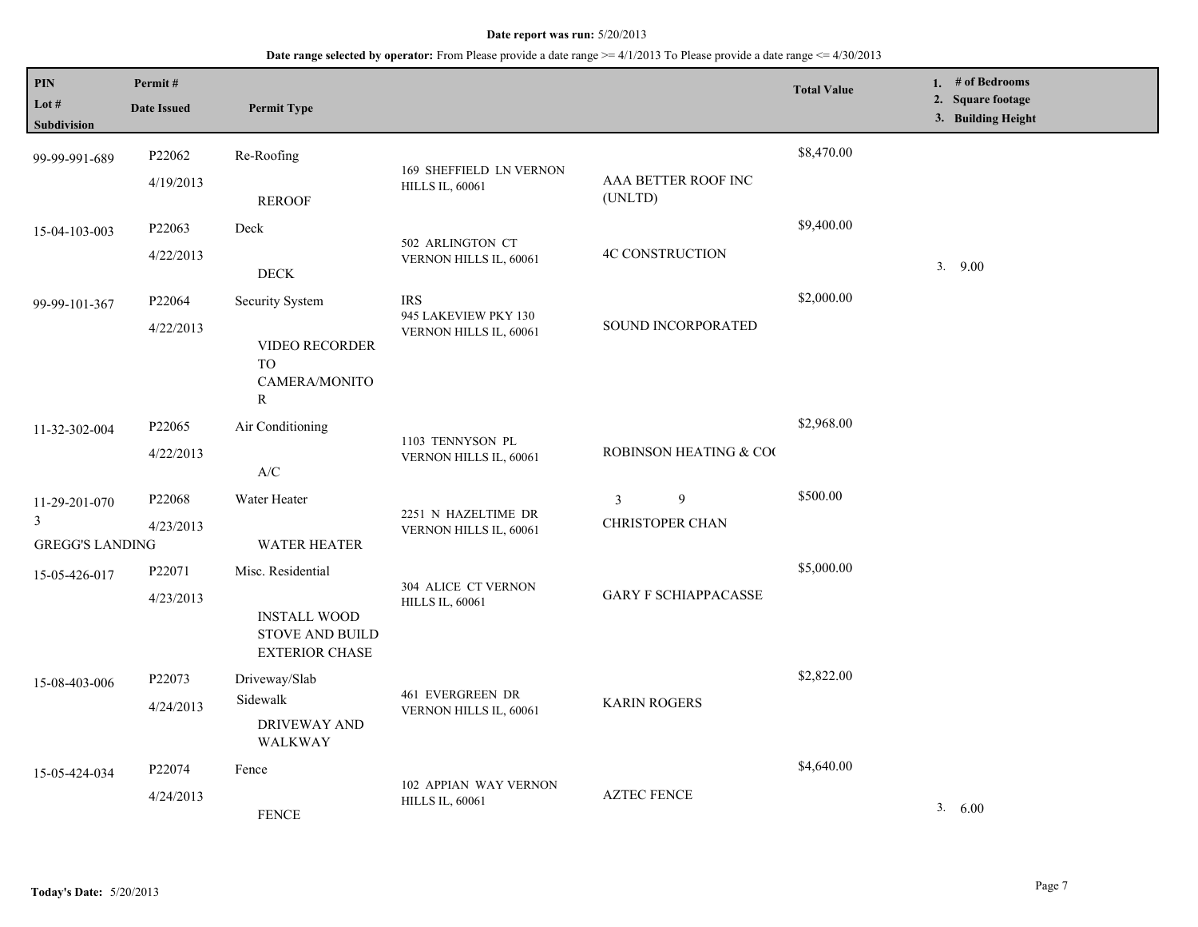| $\mathbf{PIN}$<br>Lot $#$<br><b>Subdivision</b> | Permit#<br><b>Date Issued</b> | <b>Permit Type</b>                                                                          |                                                              |                                                            | <b>Total Value</b> | 1. $#$ of Bedrooms<br>2. Square footage<br>3. Building Height |
|-------------------------------------------------|-------------------------------|---------------------------------------------------------------------------------------------|--------------------------------------------------------------|------------------------------------------------------------|--------------------|---------------------------------------------------------------|
| 99-99-991-689                                   | P22062<br>4/19/2013           | Re-Roofing                                                                                  | 169 SHEFFIELD LN VERNON<br><b>HILLS IL, 60061</b>            | AAA BETTER ROOF INC                                        | \$8,470.00         |                                                               |
| 15-04-103-003                                   | P22063                        | <b>REROOF</b><br>Deck                                                                       |                                                              | (UNLTD)                                                    | \$9,400.00         |                                                               |
|                                                 | 4/22/2013                     | <b>DECK</b>                                                                                 | 502 ARLINGTON CT<br>VERNON HILLS IL, 60061                   | <b>4C CONSTRUCTION</b>                                     |                    | 9.00<br>3.                                                    |
| 99-99-101-367                                   | P22064<br>4/22/2013           | Security System<br><b>VIDEO RECORDER</b><br><b>TO</b><br>CAMERA/MONITO<br>R                 | <b>IRS</b><br>945 LAKEVIEW PKY 130<br>VERNON HILLS IL, 60061 | SOUND INCORPORATED                                         | \$2,000.00         |                                                               |
| 11-32-302-004                                   | P22065<br>4/22/2013           | Air Conditioning<br>$\ensuremath{\mathsf{A}}\xspace/\ensuremath{\mathsf{C}}\xspace$         | 1103 TENNYSON PL<br>VERNON HILLS IL, 60061                   | ROBINSON HEATING & COO                                     | \$2,968.00         |                                                               |
| 11-29-201-070<br>3<br><b>GREGG'S LANDING</b>    | P22068<br>4/23/2013           | Water Heater<br><b>WATER HEATER</b>                                                         | 2251 N HAZELTIME DR<br>VERNON HILLS IL, 60061                | $\overline{9}$<br>$\mathfrak{Z}$<br><b>CHRISTOPER CHAN</b> | \$500.00           |                                                               |
| 15-05-426-017                                   | P22071<br>4/23/2013           | Misc. Residential<br><b>INSTALL WOOD</b><br><b>STOVE AND BUILD</b><br><b>EXTERIOR CHASE</b> | 304 ALICE CT VERNON<br><b>HILLS IL, 60061</b>                | <b>GARY F SCHIAPPACASSE</b>                                | \$5,000.00         |                                                               |
| 15-08-403-006                                   | P22073<br>4/24/2013           | Driveway/Slab<br>Sidewalk<br>DRIVEWAY AND<br>WALKWAY                                        | 461 EVERGREEN DR<br>VERNON HILLS IL, 60061                   | <b>KARIN ROGERS</b>                                        | \$2,822.00         |                                                               |
| 15-05-424-034                                   | P22074<br>4/24/2013           | Fence<br><b>FENCE</b>                                                                       | 102 APPIAN WAY VERNON<br><b>HILLS IL, 60061</b>              | <b>AZTEC FENCE</b>                                         | \$4,640.00         | 3.600                                                         |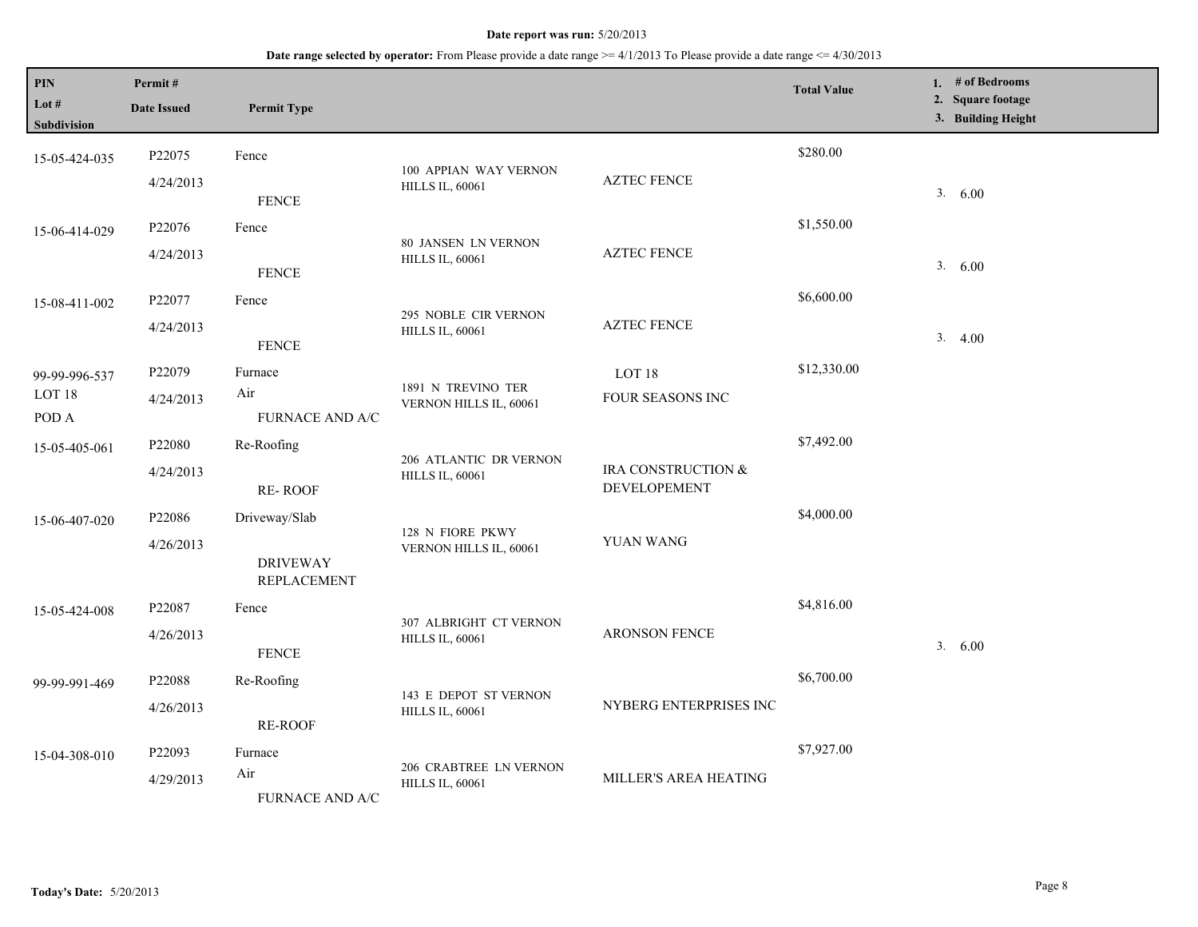| PIN<br>Lot $#$<br>Subdivision | Permit#<br><b>Date Issued</b> | <b>Permit Type</b>                    |                                                      |                                    | <b>Total Value</b> | 1. # of Bedrooms<br>2. Square footage<br>3. Building Height |
|-------------------------------|-------------------------------|---------------------------------------|------------------------------------------------------|------------------------------------|--------------------|-------------------------------------------------------------|
| 15-05-424-035                 | P22075                        | Fence                                 | 100 APPIAN WAY VERNON                                |                                    | \$280.00           |                                                             |
|                               | 4/24/2013                     | <b>FENCE</b>                          | <b>HILLS IL, 60061</b>                               | <b>AZTEC FENCE</b>                 |                    | 3.600                                                       |
| 15-06-414-029                 | P22076                        | Fence                                 |                                                      |                                    | \$1,550.00         |                                                             |
|                               | 4/24/2013                     | <b>FENCE</b>                          | <b>80 JANSEN LN VERNON</b><br><b>HILLS IL, 60061</b> | <b>AZTEC FENCE</b>                 |                    | 3. 6.00                                                     |
| 15-08-411-002                 | P22077                        | Fence                                 | 295 NOBLE CIR VERNON                                 |                                    | \$6,600.00         |                                                             |
|                               | 4/24/2013                     | <b>FENCE</b>                          | <b>HILLS IL, 60061</b>                               | <b>AZTEC FENCE</b>                 |                    | 3.4.00                                                      |
| 99-99-996-537                 | P22079                        | Furnace                               | 1891 N TREVINO TER                                   | LOT <sub>18</sub>                  | \$12,330.00        |                                                             |
| LOT <sub>18</sub><br>POD A    | 4/24/2013                     | Air<br>FURNACE AND A/C                | VERNON HILLS IL, 60061                               | FOUR SEASONS INC                   |                    |                                                             |
| 15-05-405-061                 | P22080                        | Re-Roofing                            |                                                      |                                    | \$7,492.00         |                                                             |
|                               | 4/24/2013                     | <b>RE-ROOF</b>                        | 206 ATLANTIC DR VERNON<br><b>HILLS IL, 60061</b>     | IRA CONSTRUCTION &<br>DEVELOPEMENT |                    |                                                             |
| 15-06-407-020                 | P22086                        | Driveway/Slab                         |                                                      | YUAN WANG                          | \$4,000.00         |                                                             |
|                               | 4/26/2013                     | <b>DRIVEWAY</b><br><b>REPLACEMENT</b> | 128 N FIORE PKWY<br>VERNON HILLS IL, 60061           |                                    |                    |                                                             |
| 15-05-424-008                 | P22087                        | Fence                                 | 307 ALBRIGHT CT VERNON                               |                                    | \$4,816.00         |                                                             |
|                               | 4/26/2013                     | <b>FENCE</b>                          | <b>HILLS IL, 60061</b>                               | ARONSON FENCE                      |                    | 3. 6.00                                                     |
| 99-99-991-469                 | P22088                        | Re-Roofing                            | 143 E DEPOT ST VERNON                                |                                    | \$6,700.00         |                                                             |
|                               | 4/26/2013                     | <b>RE-ROOF</b>                        | <b>HILLS IL, 60061</b>                               | NYBERG ENTERPRISES INC             |                    |                                                             |
| 15-04-308-010                 | P22093                        | Furnace                               | 206 CRABTREE LN VERNON                               |                                    | \$7,927.00         |                                                             |
|                               | 4/29/2013                     | Air<br><b>FURNACE AND A/C</b>         | <b>HILLS IL, 60061</b>                               | MILLER'S AREA HEATING              |                    |                                                             |